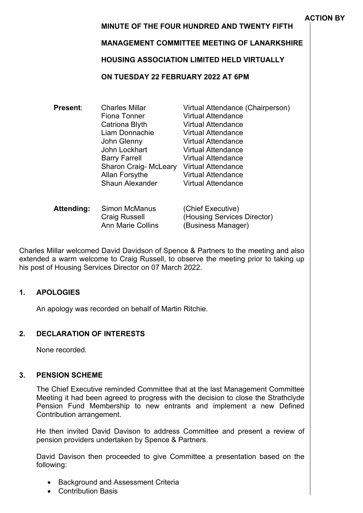### **MINUTE OF THE FOUR HUNDRED AND TWENTY FIFTH**

### **MANAGEMENT COMMITTEE MEETING OF LANARKSHIRE**

### **HOUSING ASSOCIATION LIMITED HELD VIRTUALLY**

### **ON TUESDAY 22 FEBRUARY 2022 AT 6PM**

| Present: | <b>Charles Millar</b>       | Virtual Attendance (Chairperson) |
|----------|-----------------------------|----------------------------------|
|          | Fiona Tonner                | <b>Virtual Attendance</b>        |
|          | Catriona Blyth              | <b>Virtual Attendance</b>        |
|          | Liam Donnachie              | <b>Virtual Attendance</b>        |
|          | John Glenny                 | <b>Virtual Attendance</b>        |
|          | John Lockhart               | <b>Virtual Attendance</b>        |
|          | <b>Barry Farrell</b>        | <b>Virtual Attendance</b>        |
|          | <b>Sharon Craig-McLeary</b> | <b>Virtual Attendance</b>        |
|          | Allan Forsythe              | <b>Virtual Attendance</b>        |
|          | <b>Shaun Alexander</b>      | <b>Virtual Attendance</b>        |
|          |                             |                                  |
|          |                             |                                  |
|          |                             |                                  |

| Attending: | Simon McManus            | (Chief Executive)           |
|------------|--------------------------|-----------------------------|
|            | <b>Craig Russell</b>     | (Housing Services Director) |
|            | <b>Ann Marie Collins</b> | (Business Manager)          |

Charles Millar welcomed David Davidson of Spence & Partners to the meeting and also extended a warm welcome to Craig Russell, to observe the meeting prior to taking up his post of Housing Services Director on 07 March 2022.

#### **1. APOLOGIES**

An apology was recorded on behalf of Martin Ritchie.

### **2. DECLARATION OF INTERESTS**

None recorded.

#### **3. PENSION SCHEME**

The Chief Executive reminded Committee that at the last Management Committee Meeting it had been agreed to progress with the decision to close the Strathclyde Pension Fund Membership to new entrants and implement a new Defined Contribution arrangement.

He then invited David Davison to address Committee and present a review of pension providers undertaken by Spence & Partners.

David Davison then proceeded to give Committee a presentation based on the following:

- Background and Assessment Criteria
- Contribution Basis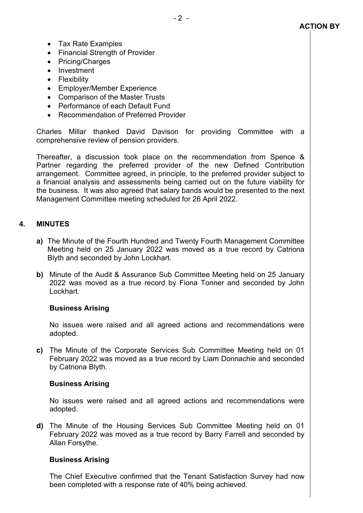- Tax Rate Examples
- Financial Strength of Provider
- Pricing/Charges
- Investment
- Flexibility
- Employer/Member Experience
- Comparison of the Master Trusts
- Performance of each Default Fund
- Recommendation of Preferred Provider

Charles Millar thanked David Davison for providing Committee with a comprehensive review of pension providers.

Thereafter, a discussion took place on the recommendation from Spence & Partner regarding the preferred provider of the new Defined Contribution arrangement. Committee agreed, in principle, to the preferred provider subject to a financial analysis and assessments being carried out on the future viability for the business. It was also agreed that salary bands would be presented to the next Management Committee meeting scheduled for 26 April 2022.

## **4. MINUTES**

- **a)** The Minute of the Fourth Hundred and Twenty Fourth Management Committee Meeting held on 25 January 2022 was moved as a true record by Catriona Blyth and seconded by John Lockhart.
- **b)** Minute of the Audit & Assurance Sub Committee Meeting held on 25 January 2022 was moved as a true record by Fiona Tonner and seconded by John Lockhart.

### **Business Arising**

No issues were raised and all agreed actions and recommendations were adopted.

**c)** The Minute of the Corporate Services Sub Committee Meeting held on 01 February 2022 was moved as a true record by Liam Donnachie and seconded by Catriona Blyth.

### **Business Arising**

No issues were raised and all agreed actions and recommendations were adopted.

**d)** The Minute of the Housing Services Sub Committee Meeting held on 01 February 2022 was moved as a true record by Barry Farrell and seconded by Allan Forsythe.

### **Business Arising**

The Chief Executive confirmed that the Tenant Satisfaction Survey had now been completed with a response rate of 40% being achieved.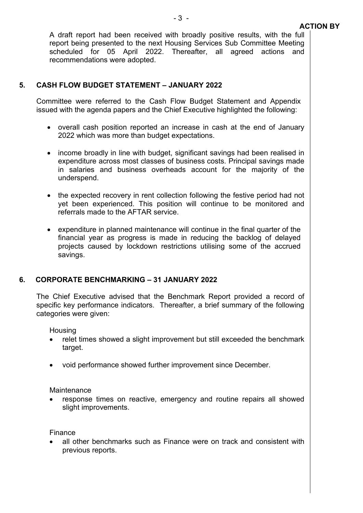A draft report had been received with broadly positive results, with the full report being presented to the next Housing Services Sub Committee Meeting scheduled for 05 April 2022. Thereafter, all agreed actions and recommendations were adopted.

## **5. CASH FLOW BUDGET STATEMENT – JANUARY 2022**

Committee were referred to the Cash Flow Budget Statement and Appendix issued with the agenda papers and the Chief Executive highlighted the following:

- overall cash position reported an increase in cash at the end of January 2022 which was more than budget expectations.
- income broadly in line with budget, significant savings had been realised in expenditure across most classes of business costs. Principal savings made in salaries and business overheads account for the majority of the underspend.
- the expected recovery in rent collection following the festive period had not yet been experienced. This position will continue to be monitored and referrals made to the AFTAR service.
- expenditure in planned maintenance will continue in the final quarter of the financial year as progress is made in reducing the backlog of delayed projects caused by lockdown restrictions utilising some of the accrued savings.

# **6. CORPORATE BENCHMARKING – 31 JANUARY 2022**

The Chief Executive advised that the Benchmark Report provided a record of specific key performance indicators. Thereafter, a brief summary of the following categories were given:

**Housing** 

- relet times showed a slight improvement but still exceeded the benchmark target.
- void performance showed further improvement since December.

**Maintenance** 

• response times on reactive, emergency and routine repairs all showed slight improvements.

Finance

• all other benchmarks such as Finance were on track and consistent with previous reports.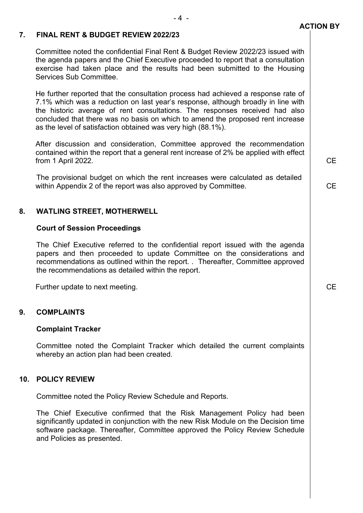## **7. FINAL RENT & BUDGET REVIEW 2022/23**

Committee noted the confidential Final Rent & Budget Review 2022/23 issued with the agenda papers and the Chief Executive proceeded to report that a consultation exercise had taken place and the results had been submitted to the Housing Services Sub Committee.

He further reported that the consultation process had achieved a response rate of 7.1% which was a reduction on last year's response, although broadly in line with the historic average of rent consultations. The responses received had also concluded that there was no basis on which to amend the proposed rent increase as the level of satisfaction obtained was very high (88.1%).

After discussion and consideration, Committee approved the recommendation contained within the report that a general rent increase of 2% be applied with effect from 1 April 2022. CE

The provisional budget on which the rent increases were calculated as detailed within Appendix 2 of the report was also approved by Committee.

**8. WATLING STREET, MOTHERWELL** 

### **Court of Session Proceedings**

The Chief Executive referred to the confidential report issued with the agenda papers and then proceeded to update Committee on the considerations and recommendations as outlined within the report. . Thereafter, Committee approved the recommendations as detailed within the report.

Further update to next meeting. The contract of the contract of the contract of the contract of the contract of the contract of the contract of the contract of the contract of the contract of the contract of the contract o

### **9. COMPLAINTS**

#### **Complaint Tracker**

Committee noted the Complaint Tracker which detailed the current complaints whereby an action plan had been created.

### **10. POLICY REVIEW**

Committee noted the Policy Review Schedule and Reports.

The Chief Executive confirmed that the Risk Management Policy had been significantly updated in conjunction with the new Risk Module on the Decision time software package. Thereafter, Committee approved the Policy Review Schedule and Policies as presented.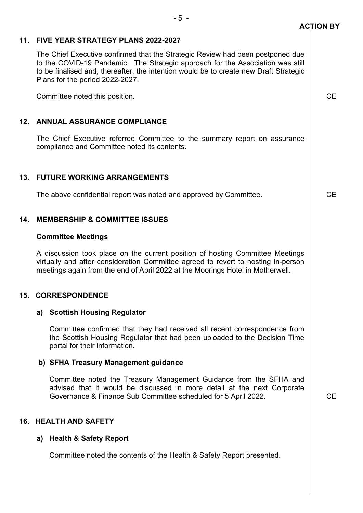#### **11. FIVE YEAR STRATEGY PLANS 2022-2027**

The Chief Executive confirmed that the Strategic Review had been postponed due to the COVID-19 Pandemic. The Strategic approach for the Association was still to be finalised and, thereafter, the intention would be to create new Draft Strategic Plans for the period 2022-2027.

Committee noted this position. The committee noted this position.

### **12. ANNUAL ASSURANCE COMPLIANCE**

The Chief Executive referred Committee to the summary report on assurance compliance and Committee noted its contents.

## **13. FUTURE WORKING ARRANGEMENTS**

The above confidential report was noted and approved by Committee.

#### **14. MEMBERSHIP & COMMITTEE ISSUES**

#### **Committee Meetings**

A discussion took place on the current position of hosting Committee Meetings virtually and after consideration Committee agreed to revert to hosting in-person meetings again from the end of April 2022 at the Moorings Hotel in Motherwell.

#### **15. CORRESPONDENCE**

#### **a) Scottish Housing Regulator**

Committee confirmed that they had received all recent correspondence from the Scottish Housing Regulator that had been uploaded to the Decision Time portal for their information.

#### **b) SFHA Treasury Management guidance**

Committee noted the Treasury Management Guidance from the SFHA and advised that it would be discussed in more detail at the next Corporate Governance & Finance Sub Committee scheduled for 5 April 2022. CE

### **16. HEALTH AND SAFETY**

#### **a) Health & Safety Report**

Committee noted the contents of the Health & Safety Report presented.